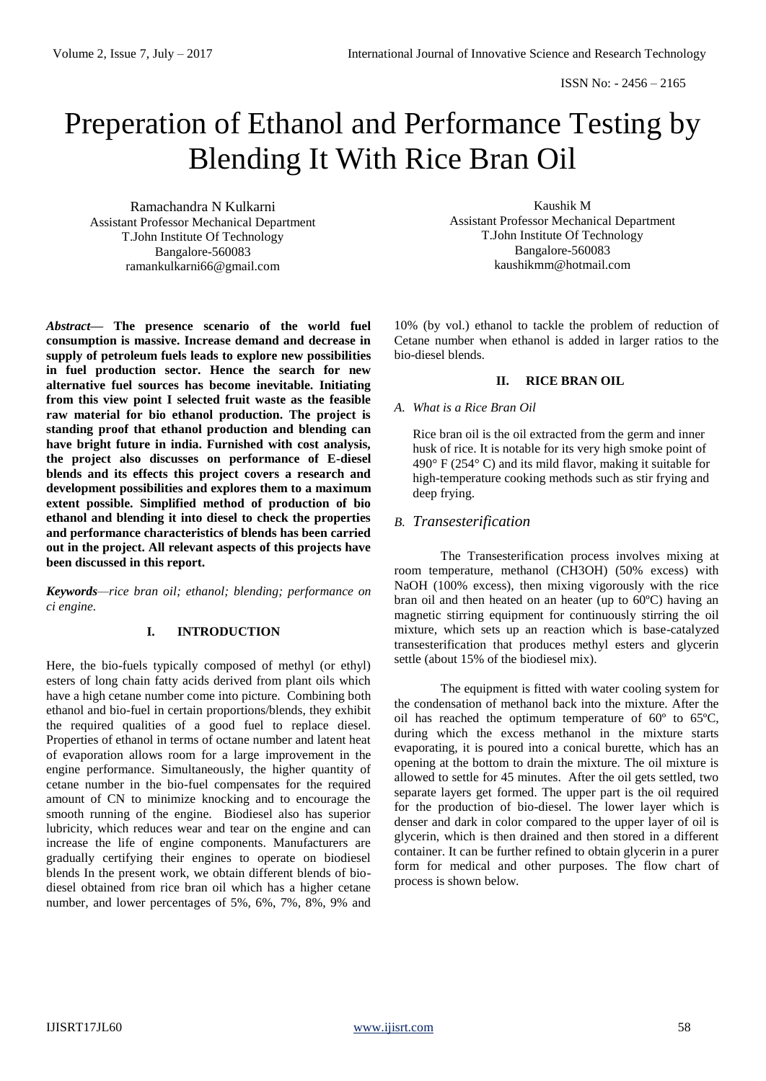# Preperation of Ethanol and Performance Testing by Blending It With Rice Bran Oil

Ramachandra N Kulkarni Assistant Professor Mechanical Department T.John Institute Of Technology Bangalore-560083 ramankulkarni66@gmail.com

*Abstract***— The presence scenario of the world fuel consumption is massive. Increase demand and decrease in supply of petroleum fuels leads to explore new possibilities in fuel production sector. Hence the search for new alternative fuel sources has become inevitable. Initiating from this view point I selected fruit waste as the feasible raw material for bio ethanol production. The project is standing proof that ethanol production and blending can have bright future in india. Furnished with cost analysis, the project also discusses on performance of E-diesel blends and its effects this project covers a research and development possibilities and explores them to a maximum extent possible. Simplified method of production of bio ethanol and blending it into diesel to check the properties and performance characteristics of blends has been carried out in the project. All relevant aspects of this projects have been discussed in this report.**

*Keywords—rice bran oil; ethanol; blending; performance on ci engine.*

# **I. INTRODUCTION**

Here, the bio-fuels typically composed of methyl (or ethyl) esters of long chain fatty acids derived from plant oils which have a high cetane number come into picture. Combining both ethanol and bio-fuel in certain proportions/blends, they exhibit the required qualities of a good fuel to replace diesel. Properties of ethanol in terms of octane number and latent heat of evaporation allows room for a large improvement in the engine performance. Simultaneously, the higher quantity of cetane number in the bio-fuel compensates for the required amount of CN to minimize knocking and to encourage the smooth running of the engine. Biodiesel also has superior lubricity, which reduces wear and tear on the engine and can increase the life of engine components. Manufacturers are gradually certifying their engines to operate on biodiesel blends In the present work, we obtain different blends of biodiesel obtained from rice bran oil which has a higher cetane number, and lower percentages of 5%, 6%, 7%, 8%, 9% and

Kaushik M Assistant Professor Mechanical Department T.John Institute Of Technology Bangalore-560083 kaushikmm@hotmail.com

10% (by vol.) ethanol to tackle the problem of reduction of Cetane number when ethanol is added in larger ratios to the bio-diesel blends.

# **II. RICE BRAN OIL**

### *A. What is a Rice Bran Oil*

Rice bran oil is the oil extracted from the germ and inner husk of rice. It is notable for its very high smoke point of  $490^{\circ}$  F (254 $^{\circ}$  C) and its mild flavor, making it suitable for high-temperature cooking methods such as stir frying and deep frying.

# *B. Transesterification*

The Transesterification process involves mixing at room temperature, methanol (CH3OH) (50% excess) with NaOH (100% excess), then mixing vigorously with the rice bran oil and then heated on an heater (up to 60ºC) having an magnetic stirring equipment for continuously stirring the oil mixture, which sets up an reaction which is base-catalyzed transesterification that produces methyl esters and glycerin settle (about 15% of the biodiesel mix).

The equipment is fitted with water cooling system for the condensation of methanol back into the mixture. After the oil has reached the optimum temperature of 60º to 65ºC, during which the excess methanol in the mixture starts evaporating, it is poured into a conical burette, which has an opening at the bottom to drain the mixture. The oil mixture is allowed to settle for 45 minutes. After the oil gets settled, two separate layers get formed. The upper part is the oil required for the production of bio-diesel. The lower layer which is denser and dark in color compared to the upper layer of oil is glycerin, which is then drained and then stored in a different container. It can be further refined to obtain glycerin in a purer form for medical and other purposes. The flow chart of process is shown below.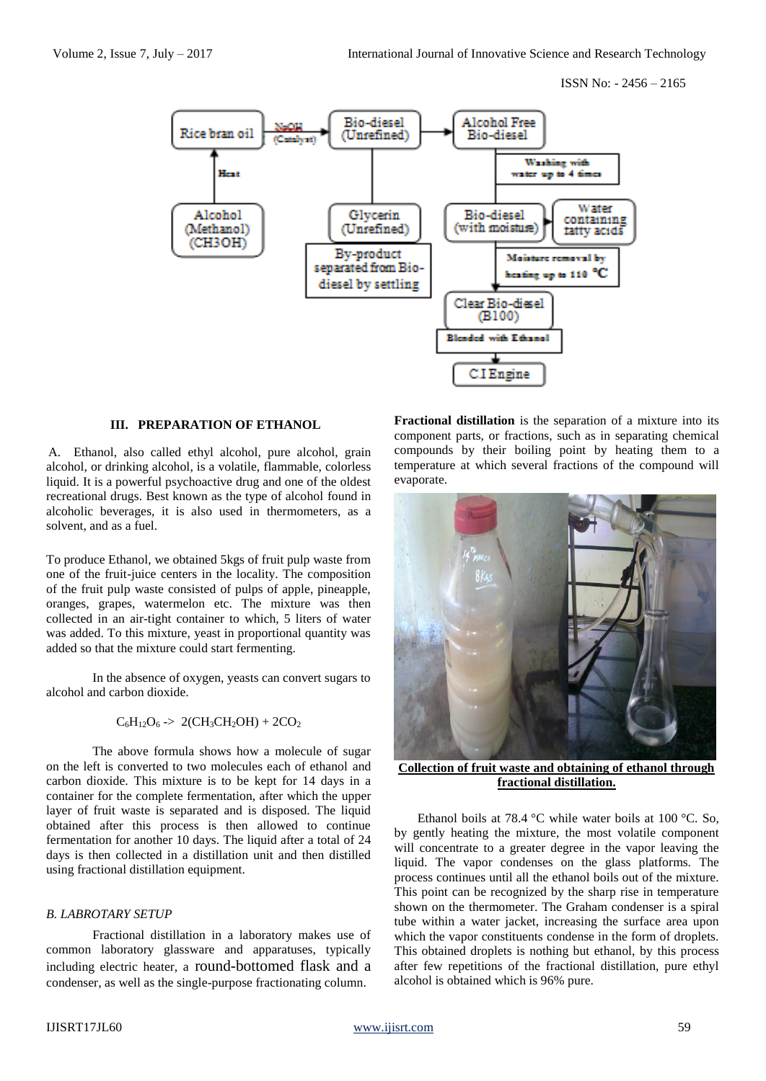

#### **III. PREPARATION OF ETHANOL**

A. Ethanol, also called ethyl alcohol, pure alcohol, grain alcohol, or drinking alcohol, is a volatile, [flammable,](http://en.wikipedia.org/wiki/Flammability) colorless liquid. It is a powerful psychoactive drug and one of the oldest [recreational drugs.](http://en.wikipedia.org/wiki/Recreational_drugs) Best known as the type of alcohol found in alcoholic beverages, it is also used in [thermometers,](http://en.wikipedia.org/wiki/Thermometers) as a [solvent,](http://en.wikipedia.org/wiki/Solvent) and as a [fuel.](http://en.wikipedia.org/wiki/Alcohol_fuel)

To produce Ethanol, we obtained 5kgs of fruit pulp waste from one of the fruit-juice centers in the locality. The composition of the fruit pulp waste consisted of pulps of apple, pineapple, oranges, grapes, watermelon etc. The mixture was then collected in an air-tight container to which, 5 liters of water was added. To this mixture, yeast in proportional quantity was added so that the mixture could start fermenting.

In the absence of oxygen, yeasts can convert sugars to alcohol and carbon dioxide.

# $C_6H_{12}O_6 \rightarrow 2(CH_3CH_2OH) + 2CO_2$

The above formula shows how a molecule of sugar on the left is converted to two molecules each of ethanol and carbon dioxide. This mixture is to be kept for 14 days in a container for the complete fermentation, after which the upper layer of fruit waste is separated and is disposed. The liquid obtained after this process is then allowed to continue fermentation for another 10 days. The liquid after a total of 24 days is then collected in a distillation unit and then distilled using fractional distillation equipment.

### *B. LABROTARY SETUP*

Fractional distillation in a laboratory makes use of common laboratory glassware and apparatuses, typically including electric heater, a [round-bottomed flask](file:///C:/wiki/Round-bottomed_flask) and a [condenser,](file:///C:/wiki/Condenser_(heat_transfer)) as well as the single-purpose [fractionating column.](file:///C:/wiki/Fractionating_column)

**Fractional distillation** is the separation of a [mixture](file:///C:/wiki/Mixture) into its component [parts,](file:///C:/wiki/Parts) or [fractions,](file:///C:/wiki/Fractions) such as in separating [chemical](file:///C:/wiki/Chemical_compound)  [compounds](file:///C:/wiki/Chemical_compound) by their [boiling point](file:///C:/wiki/Boiling_point) by heating them to a [temperature](file:///C:/wiki/Temperature) at which several fractions of the compound will evaporate.



**Collection of fruit waste and obtaining of ethanol through fractional distillation.**

Ethanol boils at 78.4 °C while water boils at 100 °C. So, by gently heating the mixture, the most volatile component will concentrate to a greater degree in the vapor leaving the liquid. The vapor [condenses](file:///C:/wiki/Condensation) on the glass platforms. The process continues until all the ethanol boils out of the mixture. This point can be recognized by the sharp rise in temperature shown on the [thermometer.](file:///C:/wiki/Thermometer) The [Graham condenser](file:///C:/wiki/Graham_condenser) is a spiral tube within a water jacket, increasing the surface area upon which the vapor constituents condense in the form of droplets. This obtained droplets is nothing but ethanol, by this process after few repetitions of the fractional distillation, pure ethyl alcohol is obtained which is 96% pure.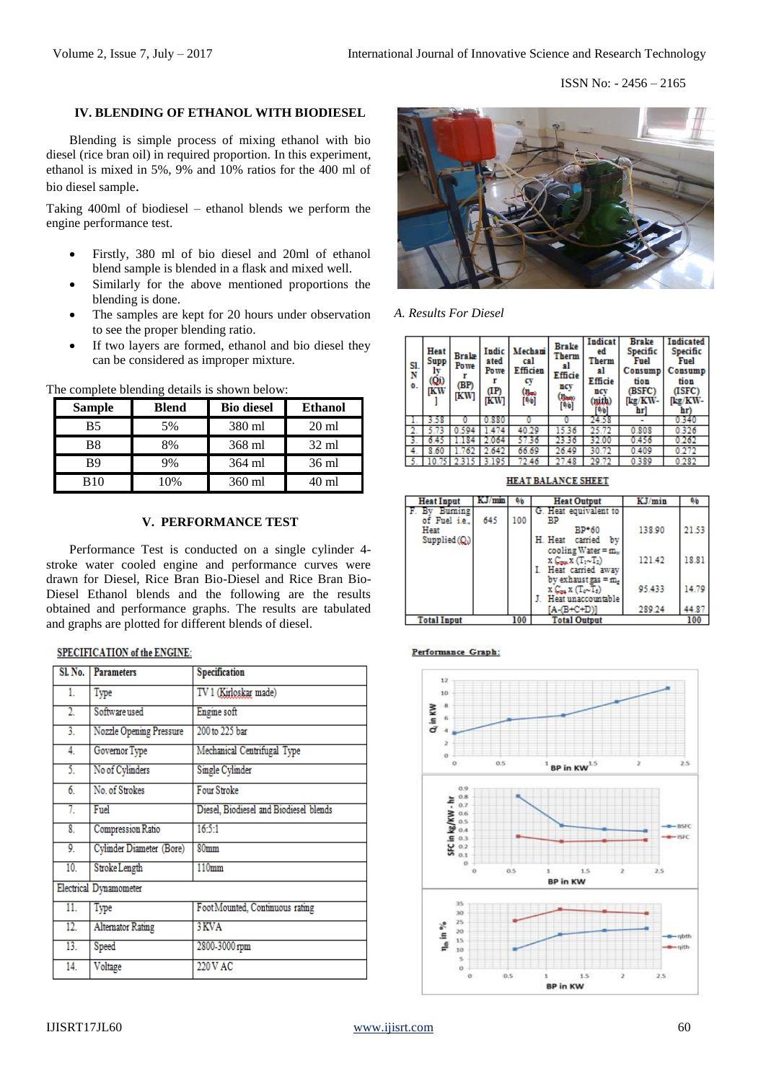# **IV. BLENDING OF ETHANOL WITH BIODIESEL**

Blending is simple process of mixing ethanol with bio diesel (rice bran oil) in required proportion. In this experiment, ethanol is mixed in 5%, 9% and 10% ratios for the 400 ml of bio diesel sample.

Taking 400ml of biodiesel – ethanol blends we perform the engine performance test.

- Firstly, 380 ml of bio diesel and 20ml of ethanol blend sample is blended in a flask and mixed well.
- Similarly for the above mentioned proportions the blending is done.
- The samples are kept for 20 hours under observation to see the proper blending ratio.
- If two layers are formed, ethanol and bio diesel they can be considered as improper mixture.

| <b>Sample</b> | <b>Blend</b> | <b>Bio diesel</b> | <b>Ethanol</b>  |
|---------------|--------------|-------------------|-----------------|
| <b>B5</b>     | 5%           | 380 ml            | $20 \text{ ml}$ |
| B8            | 8%           | 368 ml            | $32 \text{ ml}$ |
| B9            | 9%           | 364 ml            | 36 ml           |
| <b>B10</b>    | 0%           | 360 ml            | 40 ml           |

The complete blending details is shown below:

#### **V. PERFORMANCE TEST**

Performance Test is conducted on a single cylinder 4 stroke water cooled engine and performance curves were drawn for Diesel, Rice Bran Bio-Diesel and Rice Bran Bio-Diesel Ethanol blends and the following are the results obtained and performance graphs. The results are tabulated and graphs are plotted for different blends of diesel.

### **SPECIFICATION of the ENGINE:**

| $SL$ No.         | <b>Parameters</b>        | Specification                          |
|------------------|--------------------------|----------------------------------------|
| 1.               | Type                     | TV 1 (Kirloskar made)                  |
| $\overline{2}$ . | Software used            | Engine soft                            |
| $\overline{3}$ . | Nozzle Opening Pressure  | 200 to 225 bar                         |
| 4.               | Governor Type            | Mechanical Centrifugal Type            |
| 5.               | No of Cylinders          | Single Cylinder                        |
| 6.               | No. of Strokes           | Four Stroke                            |
| 7.               | Fuel                     | Diesel, Biodiesel and Biodiesel blends |
| 8.               | <b>Compression Ratio</b> | 16:5:1                                 |
| 9.               | Cylinder Diameter (Bore) | 80mm                                   |
| 10.              | Stroke Length            | 110mm                                  |
|                  | Electrical Dynamometer   |                                        |
| 11.              | Type                     | Foot Mounted, Continuous rating        |
| 12.              | <b>Alternator Rating</b> | 3 KVA                                  |
| 13.              | Speed                    | 2800-3000 rpm                          |
| 14.              | Voltage                  | 220 V AC                               |



*A. Results For Diesel*

| SI.<br>N<br>0. | Heat<br>Supp<br>(Qi)<br>IKW | <b>Brake</b><br>Powe<br>(BP)<br>IKW | <b>Indic</b><br>ated<br>Powe<br>(IP)<br>кw | Mechani<br>cal<br>Efficien<br>c٧<br>(lbo)<br>[%] | <b>Brake</b><br>Therm<br>яl<br>Efficie<br>ncy<br>(11apr)<br>[96] | Indicat<br>ed<br>Therm<br>al<br>Efficie<br>ncv<br>(mith)<br>[%] | <b>Brake</b><br>Specific<br>Fuel<br>Consump<br>tion<br>(BSFC)<br>[kg/KW<br>hrl | <b>Indicated</b><br>Specific<br>Fuel<br>Consump<br>tion<br>(ISFC)<br>[kg/KW<br>hr) |
|----------------|-----------------------------|-------------------------------------|--------------------------------------------|--------------------------------------------------|------------------------------------------------------------------|-----------------------------------------------------------------|--------------------------------------------------------------------------------|------------------------------------------------------------------------------------|
|                | 58                          |                                     | 880                                        | o                                                |                                                                  | 24.58                                                           |                                                                                | 0.340                                                                              |
|                | 5.73                        | 0.594                               | 1.474                                      | 40.29                                            | 15.36                                                            | 25.72                                                           | 0.808                                                                          | 0.326                                                                              |
| -3.            |                             | 84                                  | 2.064                                      | 57.36                                            | 23.36                                                            | 32.00                                                           | 0.456                                                                          | 0.262                                                                              |
| 4.             | 8.60                        | .762                                | 2.642                                      | 66.69                                            | 26.49                                                            | 30.72                                                           | 0.409                                                                          | 0.272                                                                              |
| 5              |                             | 2.315                               | 3.195                                      | 72.46                                            | 27.48                                                            | 29.72                                                           | 0.389                                                                          | 0.282                                                                              |

**Heat Output Heat Input** KJ/m KJ/min 96 By Burning<br>of Fuel i.e. Heat equivalent 645 100 **RD** Heat 21.53 BP\*60 138.90 Supplied (Q) H. Heat carried by cooling Water =  $m_{\alpha}$ 121.42 18.81  $\sqrt{x(T_1 \cdot T_2)}$ L Heat carried away by exhaust  $gas = m<sub>e</sub>$ 95.433 14.79 α X (Te∼Ts) J. Heat unaccountable  $A-(B+C+D)]$ 289.24 44.87 **Total Input** 100

#### Performance Graph:



**HEAT BALANCE SHEET**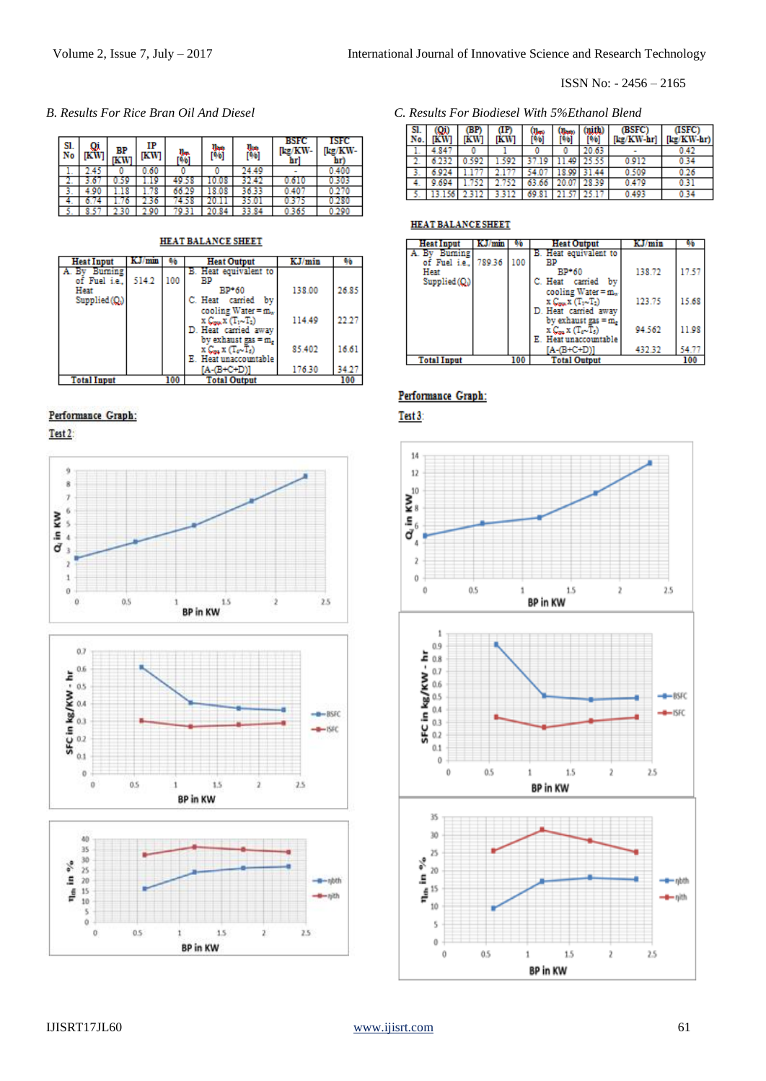| SI.<br>No |     | BP<br>IKW | IP<br><b>IKW</b> | Ile<br>[96] | llan<br>[96] | ր<br>[96] | <b>BSFC</b><br>[kg/KW<br>hr | ISFC<br>[kg/KW-<br>hr) |
|-----------|-----|-----------|------------------|-------------|--------------|-----------|-----------------------------|------------------------|
|           | 45  |           | .60              |             |              | 24.49     |                             | 0.400                  |
|           |     |           |                  | 49.58       |              | 32.42     |                             | 0.30?                  |
|           | .90 |           | 78               | 66.29       | 18.08        | 36.33     | $0.40^{\circ}$              | 0.270                  |
| ٠.        |     |           | 50               | 4.58        |              | 35.OI     | 0.317                       | 0.280                  |
|           |     |           |                  |             |              |           |                             |                        |

#### HEAT BALANCE SHEET

| <b>Heat Input</b>  | KJ/mm |     | <b>Heat Output</b>                                                      | KJ/min | 96    |
|--------------------|-------|-----|-------------------------------------------------------------------------|--------|-------|
| A. By Burning      |       |     | B. Heat equivalent to                                                   |        |       |
| of Fuel i.e.,      | 514.2 | 100 | <b>BP</b>                                                               |        |       |
| Heat               |       |     | $BP*60$                                                                 | 138.00 | 26.85 |
| $Supplied(Q_i)$    |       |     | C. Heat carried by                                                      |        |       |
|                    |       |     | cooling Water = $m_v$                                                   |        |       |
|                    |       |     | $X \mathcal{C}_{\text{max}} X (\mathcal{T}_1 \cup \mathcal{T}_2)$       | 114.49 |       |
|                    |       |     | D. Heat carried away                                                    |        |       |
|                    |       |     | by exhaust gas = m.                                                     |        |       |
|                    |       |     | $X \mathcal{C}_{\text{out}} X (\mathbb{T}_{e^{\infty}} \mathbb{T}_{e})$ | 85.402 | 16.61 |
|                    |       |     | Heat unaccountable                                                      |        |       |
|                    |       |     | $[A-(B+C+D)]$                                                           | 176.30 | 34.27 |
| <b>Total Input</b> |       | 100 | <b>Total Output</b>                                                     |        | 100   |

# Performance Graph:

Test 2:







# *B. Results For Rice Bran Oil And Diesel C. Results For Biodiesel With 5%Ethanol Blend*

| SI.<br>No. |        | (BP)<br><b>IKW</b> | Œ<br><b>IKW</b> | (Մարմ<br>[96] |                   | [%]         | (BSFC)<br>[kg/KW-hr] | (ISFC)<br>[kg/KW-hr) |
|------------|--------|--------------------|-----------------|---------------|-------------------|-------------|----------------------|----------------------|
|            | 4.847  |                    |                 |               |                   | 20.63       |                      | 0.42                 |
|            | 6.232  | 0.592              | 592             | 37.19         |                   | 11.49 25.55 | 0.912                | 0.34                 |
|            | 6.924  |                    | 177             | 54.07         |                   | 18.99 31.44 | 0.509                | 0.26                 |
| 4.         | 9.694  | 1.752              | 2.752           |               | 63.66 20.07 28.39 |             | 0.479                | 0.31                 |
| к          | 13.156 | 2312               | 3.312           | 69.81         |                   | 21.57 25.17 | 0.493                | 0.34                 |

# **HEAT BALANCE SHEET**

| <b>Heat Input</b>              | KJ/mm |     | <b>Heat Output</b>                                                                                                           | KJ/min | 90    |
|--------------------------------|-------|-----|------------------------------------------------------------------------------------------------------------------------------|--------|-------|
| Buming<br>of Fuel i.e., 789.36 |       | 100 | B. Heat equivalent to<br>ВP                                                                                                  |        |       |
| Heat<br>$Supplied(Q_i)$        |       |     | $BP*60$<br>C. Heat carried<br>bv                                                                                             | 138.72 | 17.57 |
|                                |       |     | cooling Water = m.<br>$X \mathcal{C}_{\text{max}} X (\mathcal{T}_1 \cup \mathcal{T}_2)$<br>D. Heat carried away              | 123.75 | 15.68 |
|                                |       |     | by exhaust $\text{gas} = \text{m}$ .<br>$X \mathcal{C}_{\text{max}} X (\mathcal{T}_{\text{e}} \cdot \mathcal{T}_{\text{s}})$ | 94.562 | 11.98 |
| <b>Total Input</b>             |       | 100 | Heat unaccountable<br>[A-(B+C+D)]<br><b>Total Output</b>                                                                     | 432.32 | 54.77 |

# Performance Graph:

Test 3:

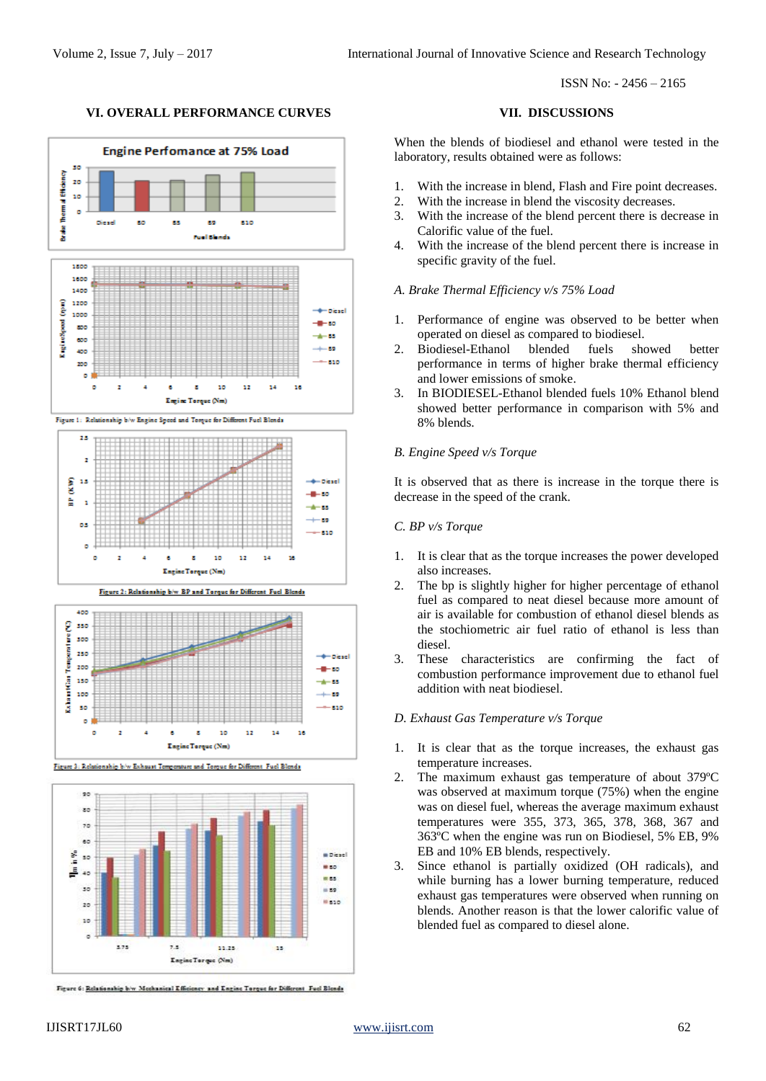# **VI. OVERALL PERFORMANCE CURVES VII. DISCUSSIONS**





Figure 3: Relationship b/w Exhaust To re and Tomue for Differ ent Fuel Blends



Figure 6: Relationship b/w Mechanical Efficiency and Engine Torque for Different Fuel Blends

When the blends of biodiesel and ethanol were tested in the laboratory, results obtained were as follows:

- 1. With the increase in blend, Flash and Fire point decreases.
- 2. With the increase in blend the viscosity decreases.
- 3. With the increase of the blend percent there is decrease in Calorific value of the fuel.
- 4. With the increase of the blend percent there is increase in specific gravity of the fuel.

### *A. Brake Thermal Efficiency v/s 75% Load*

- 1. Performance of engine was observed to be better when operated on diesel as compared to biodiesel.
- 2. Biodiesel-Ethanol blended fuels showed better performance in terms of higher brake thermal efficiency and lower emissions of smoke.
- 3. In BIODIESEL-Ethanol blended fuels 10% Ethanol blend showed better performance in comparison with 5% and 8% blends.

### *B. Engine Speed v/s Torque*

It is observed that as there is increase in the torque there is decrease in the speed of the crank.

# *C. BP v/s Torque*

- 1. It is clear that as the torque increases the power developed also increases.
- 2. The bp is slightly higher for higher percentage of ethanol fuel as compared to neat diesel because more amount of air is available for combustion of ethanol diesel blends as the stochiometric air fuel ratio of ethanol is less than diesel.
- 3. These characteristics are confirming the fact of combustion performance improvement due to ethanol fuel addition with neat biodiesel.

### *D. Exhaust Gas Temperature v/s Torque*

- 1. It is clear that as the torque increases, the exhaust gas temperature increases.
- 2. The maximum exhaust gas temperature of about 379ºC was observed at maximum torque (75%) when the engine was on diesel fuel, whereas the average maximum exhaust temperatures were 355, 373, 365, 378, 368, 367 and 363ºC when the engine was run on Biodiesel, 5% EB, 9% EB and 10% EB blends, respectively.
- 3. Since ethanol is partially oxidized (OH radicals), and while burning has a lower burning temperature, reduced exhaust gas temperatures were observed when running on blends. Another reason is that the lower calorific value of blended fuel as compared to diesel alone.